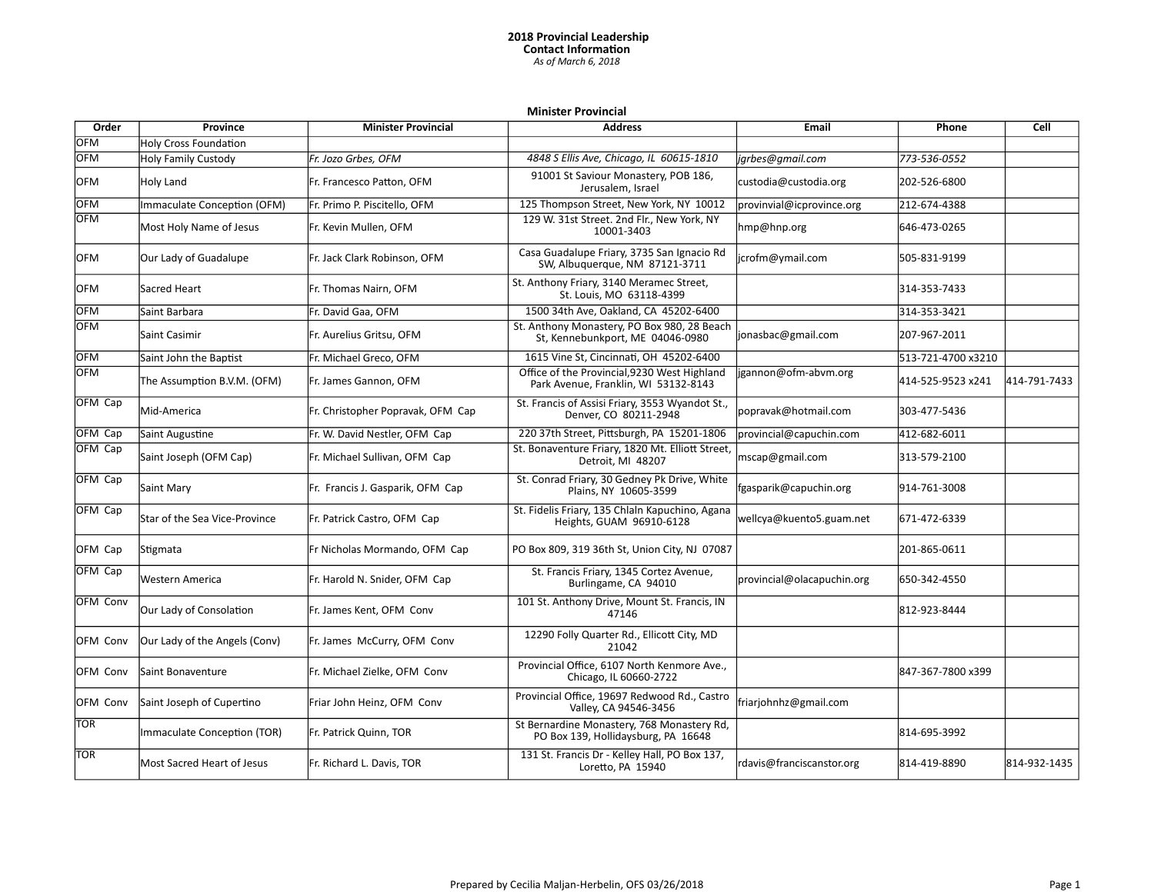## **2018 Provincial Leadership Contact Information** *As of March 6, 2018*

## **Minister Provincial**

| Order           | Province                      | <b>Minister Provincial</b>        | <b>Address</b>                                                                       | <b>Email</b>               | Phone              | Cell         |
|-----------------|-------------------------------|-----------------------------------|--------------------------------------------------------------------------------------|----------------------------|--------------------|--------------|
| <b>OFM</b>      | <b>Holy Cross Foundation</b>  |                                   |                                                                                      |                            |                    |              |
| <b>OFM</b>      | <b>Holy Family Custody</b>    | Fr. Jozo Grbes, OFM               | 4848 S Ellis Ave, Chicago, IL 60615-1810                                             | jgrbes@gmail.com           | 773-536-0552       |              |
| <b>OFM</b>      | Holy Land                     | Fr. Francesco Patton, OFM         | 91001 St Saviour Monastery, POB 186,<br>Jerusalem, Israel                            | custodia@custodia.org      | 202-526-6800       |              |
| <b>OFM</b>      | Immaculate Conception (OFM)   | Fr. Primo P. Piscitello, OFM      | 125 Thompson Street, New York, NY 10012                                              | provinvial@icprovince.org  | 212-674-4388       |              |
| <b>OFM</b>      | Most Holy Name of Jesus       | Fr. Kevin Mullen, OFM             | 129 W. 31st Street. 2nd Flr., New York, NY<br>10001-3403                             | hmp@hnp.org                | 646-473-0265       |              |
| OFM             | Our Lady of Guadalupe         | Fr. Jack Clark Robinson, OFM      | Casa Guadalupe Friary, 3735 San Ignacio Rd<br>SW, Albuquerque, NM 87121-3711         | jcrofm@ymail.com           | 505-831-9199       |              |
| lOFM            | Sacred Heart                  | Fr. Thomas Nairn, OFM             | St. Anthony Friary, 3140 Meramec Street,<br>St. Louis. MO 63118-4399                 |                            | 314-353-7433       |              |
| OFM             | lSaint Barbara                | Fr. David Gaa, OFM                | 1500 34th Ave, Oakland, CA 45202-6400                                                |                            | 314-353-3421       |              |
| lOFM            | Saint Casimir                 | Fr. Aurelius Gritsu, OFM          | St. Anthony Monastery, PO Box 980, 28 Beach<br>St, Kennebunkport, ME 04046-0980      | jonasbac@gmail.com         | 207-967-2011       |              |
| OFM             | Saint John the Baptist        | Fr. Michael Greco, OFM            | 1615 Vine St, Cincinnati, OH 45202-6400                                              |                            | 513-721-4700 x3210 |              |
| OFM             | The Assumption B.V.M. (OFM)   | Fr. James Gannon, OFM             | Office of the Provincial, 9230 West Highland<br>Park Avenue, Franklin, WI 53132-8143 | jgannon@ofm-abvm.org       | 414-525-9523 x241  | 414-791-7433 |
| OFM Cap         | Mid-America                   | Fr. Christopher Popravak, OFM Cap | St. Francis of Assisi Friary, 3553 Wyandot St.,<br>Denver, CO 80211-2948             | popravak@hotmail.com       | 303-477-5436       |              |
| <b>OFM Cap</b>  | Saint Augustine               | Fr. W. David Nestler, OFM Cap     | 220 37th Street, Pittsburgh, PA 15201-1806                                           | provincial@capuchin.com    | 412-682-6011       |              |
| OFM Cap         | Saint Joseph (OFM Cap)        | Fr. Michael Sullivan, OFM Cap     | St. Bonaventure Friary, 1820 Mt. Elliott Street,<br>Detroit, MI 48207                | mscap@gmail.com            | 313-579-2100       |              |
| OFM Cap         | Saint Mary                    | Fr. Francis J. Gasparik, OFM Cap  | St. Conrad Friary, 30 Gedney Pk Drive, White<br>Plains, NY 10605-3599                | fgasparik@capuchin.org     | 914-761-3008       |              |
| OFM Cap         | Star of the Sea Vice-Province | Fr. Patrick Castro, OFM Cap       | St. Fidelis Friary, 135 Chlaln Kapuchino, Agana<br>Heights, GUAM 96910-6128          | wellcya@kuento5.guam.net   | 671-472-6339       |              |
| OFM Cap         | Stigmata                      | Fr Nicholas Mormando, OFM Cap     | PO Box 809, 319 36th St, Union City, NJ 07087                                        |                            | 201-865-0611       |              |
| OFM Cap         | Western America               | Fr. Harold N. Snider, OFM Cap     | St. Francis Friary, 1345 Cortez Avenue,<br>Burlingame, CA 94010                      | provincial@olacapuchin.org | 650-342-4550       |              |
| <b>OFM Conv</b> | Our Lady of Consolation       | Fr. James Kent, OFM Conv          | 101 St. Anthony Drive, Mount St. Francis, IN<br>47146                                |                            | 812-923-8444       |              |
| <b>OFM Conv</b> | Our Lady of the Angels (Conv) | Fr. James McCurry, OFM Conv       | 12290 Folly Quarter Rd., Ellicott City, MD<br>21042                                  |                            |                    |              |
| <b>OFM Conv</b> | Saint Bonaventure             | Fr. Michael Zielke, OFM Conv      | Provincial Office, 6107 North Kenmore Ave.,<br>Chicago, IL 60660-2722                |                            | 847-367-7800 x399  |              |
| OFM Conv        | Saint Joseph of Cupertino     | Friar John Heinz, OFM Conv        | Provincial Office, 19697 Redwood Rd., Castro<br>Valley, CA 94546-3456                | friarjohnhz@gmail.com      |                    |              |
| <b>TOR</b>      | Immaculate Conception (TOR)   | Fr. Patrick Quinn, TOR            | St Bernardine Monastery, 768 Monastery Rd,<br>PO Box 139, Hollidaysburg, PA 16648    |                            | 814-695-3992       |              |
| <b>TOR</b>      | Most Sacred Heart of Jesus    | Fr. Richard L. Davis, TOR         | 131 St. Francis Dr - Kelley Hall, PO Box 137,<br>Loretto, PA 15940                   | rdavis@franciscanstor.org  | 814-419-8890       | 814-932-1435 |